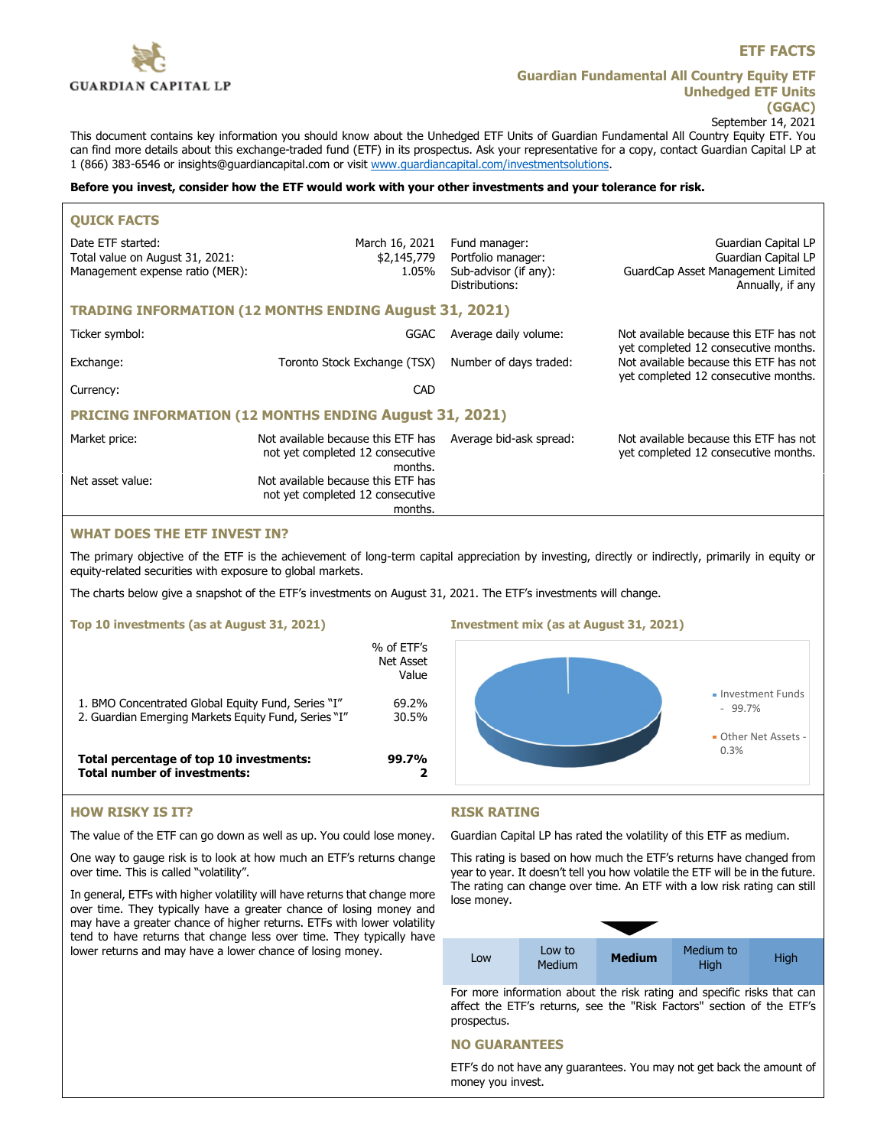

## **Guardian Fundamental All Country Equity ETF Unhedged ETF Units (GGAC)**

September 14, 2021

This document contains key information you should know about the Unhedged ETF Units of Guardian Fundamental All Country Equity ETF. You can find more details about this exchange-traded fund (ETF) in its prospectus. Ask your representative for a copy, contact Guardian Capital LP at 1 (866) 383-6546 or [insights@guardiancapital.com](mailto:insights@guardiancapital.com) or visit [www.guardiancapital.com/investmentsolutions.](http://www.guardiancapital.com/investmentsolutions)

#### **Before you invest, consider how the ETF would work with your other investments and your tolerance for risk.**

| <b>OUICK FACTS</b>                                                                      |                                                                                   |                                                                                |                                                                                                                        |  |
|-----------------------------------------------------------------------------------------|-----------------------------------------------------------------------------------|--------------------------------------------------------------------------------|------------------------------------------------------------------------------------------------------------------------|--|
| Date ETF started:<br>Total value on August 31, 2021:<br>Management expense ratio (MER): | March 16, 2021<br>\$2,145,779<br>1.05%                                            | Fund manager:<br>Portfolio manager:<br>Sub-advisor (if any):<br>Distributions: | Guardian Capital LP<br>Guardian Capital LP<br>GuardCap Asset Management Limited<br>Annually, if any                    |  |
| <b>TRADING INFORMATION (12 MONTHS ENDING August 31, 2021)</b>                           |                                                                                   |                                                                                |                                                                                                                        |  |
| Ticker symbol:                                                                          | GGAC                                                                              | Average daily volume:                                                          | Not available because this ETF has not                                                                                 |  |
| Exchange:                                                                               | Toronto Stock Exchange (TSX)                                                      | Number of days traded:                                                         | yet completed 12 consecutive months.<br>Not available because this ETF has not<br>yet completed 12 consecutive months. |  |
| Currency:                                                                               | CAD                                                                               |                                                                                |                                                                                                                        |  |
| PRICING INFORMATION (12 MONTHS ENDING August 31, 2021)                                  |                                                                                   |                                                                                |                                                                                                                        |  |
| Market price:                                                                           | Not available because this ETF has<br>not yet completed 12 consecutive<br>months. | Average bid-ask spread:                                                        | Not available because this ETF has not<br>yet completed 12 consecutive months.                                         |  |
| Net asset value:                                                                        | Not available because this ETF has<br>not yet completed 12 consecutive<br>months. |                                                                                |                                                                                                                        |  |

# **WHAT DOES THE ETF INVEST IN?**

The primary objective of the ETF is the achievement of long-term capital appreciation by investing, directly or indirectly, primarily in equity or equity-related securities with exposure to global markets.

The charts below give a snapshot of the ETF's investments on August 31, 2021. The ETF's investments will change.

### **Top 10 investments (as at August 31, 2021)**

|                                                                                                            | % of ETF's<br>Net Asset<br>Value |
|------------------------------------------------------------------------------------------------------------|----------------------------------|
| 1. BMO Concentrated Global Equity Fund, Series "I"<br>2. Guardian Emerging Markets Equity Fund, Series "I" | 69.2%<br>30.5%                   |
| Total percentage of top 10 investments:<br>Total number of investments:                                    | 99.7%                            |

### **Investment mix (as at August 31, 2021)**



## **HOW RISKY IS IT?**

The value of the ETF can go down as well as up. You could lose money.

One way to gauge risk is to look at how much an ETF's returns change over time. This is called "volatility".

In general, ETFs with higher volatility will have returns that change more over time. They typically have a greater chance of losing money and may have a greater chance of higher returns. ETFs with lower volatility tend to have returns that change less over time. They typically have lower returns and may have a lower chance of losing money.

## **RISK RATING**

Guardian Capital LP has rated the volatility of this ETF as medium.

This rating is based on how much the ETF's returns have changed from year to year. It doesn't tell you how volatile the ETF will be in the future. The rating can change over time. An ETF with a low risk rating can still lose money.

| LOW | Low to<br><b>Medium</b> | <b>Medium</b> | Medium to<br>High | High |
|-----|-------------------------|---------------|-------------------|------|

For more information about the risk rating and specific risks that can affect the ETF's returns, see the "Risk Factors" section of the ETF's prospectus.

### **NO GUARANTEES**

ETF's do not have any guarantees. You may not get back the amount of money you invest.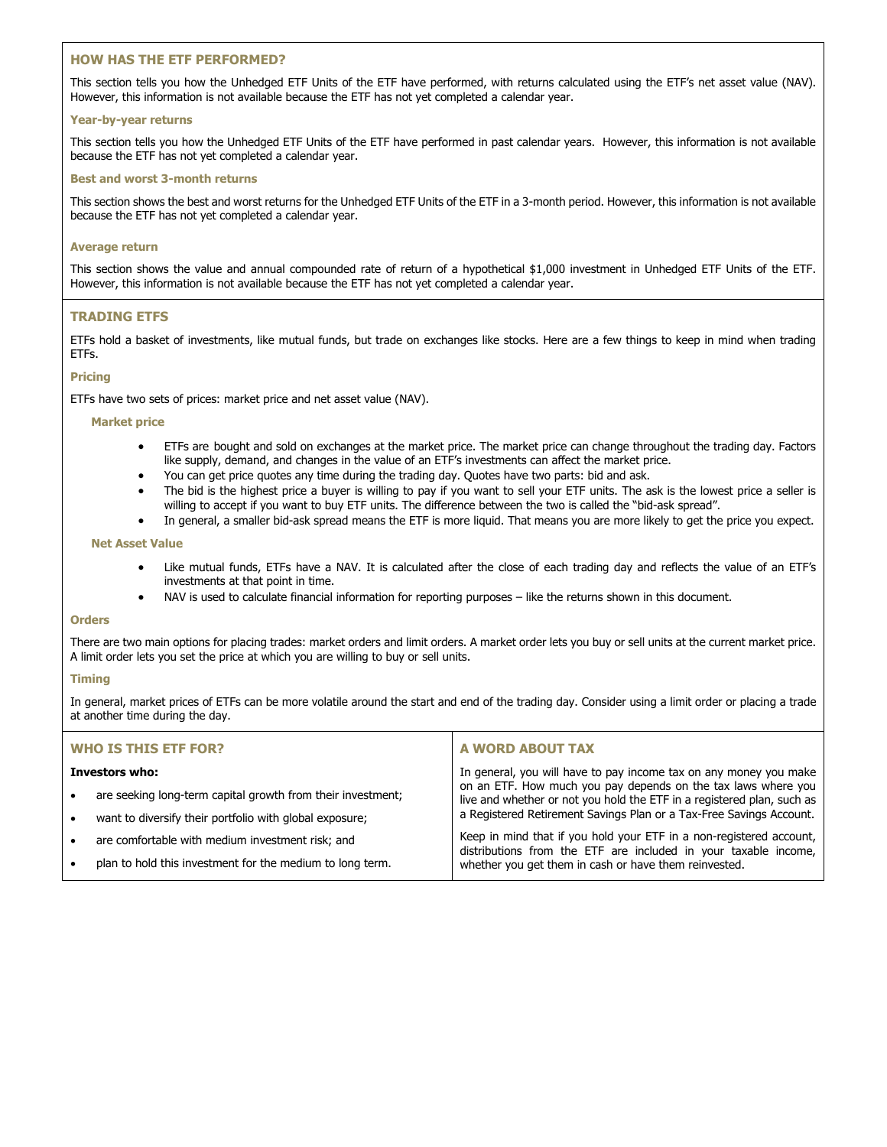### **HOW HAS THE ETF PERFORMED?**

This section tells you how the Unhedged ETF Units of the ETF have performed, with returns calculated using the ETF's net asset value (NAV). However, this information is not available because the ETF has not yet completed a calendar year.

### **Year-by-year returns**

This section tells you how the Unhedged ETF Units of the ETF have performed in past calendar years. However, this information is not available because the ETF has not yet completed a calendar year.

### **Best and worst 3-month returns**

This section shows the best and worst returns for the Unhedged ETF Units of the ETF in a 3-month period. However, this information is not available because the ETF has not yet completed a calendar year.

### **Average return**

This section shows the value and annual compounded rate of return of a hypothetical \$1,000 investment in Unhedged ETF Units of the ETF. However, this information is not available because the ETF has not yet completed a calendar year.

## **TRADING ETFS**

ETFs hold a basket of investments, like mutual funds, but trade on exchanges like stocks. Here are a few things to keep in mind when trading ETFs.

### **Pricing**

ETFs have two sets of prices: market price and net asset value (NAV).

### **Market price**

- ETFs are bought and sold on exchanges at the market price. The market price can change throughout the trading day. Factors like supply, demand, and changes in the value of an ETF's investments can affect the market price.
- You can get price quotes any time during the trading day. Quotes have two parts: bid and ask.
- The bid is the highest price a buyer is willing to pay if you want to sell your ETF units. The ask is the lowest price a seller is willing to accept if you want to buy ETF units. The difference between the two is called the "bid-ask spread".
- In general, a smaller bid-ask spread means the ETF is more liquid. That means you are more likely to get the price you expect.

#### **Net Asset Value**

- Like mutual funds, ETFs have a NAV. It is calculated after the close of each trading day and reflects the value of an ETF's investments at that point in time.
- NAV is used to calculate financial information for reporting purposes like the returns shown in this document.

#### **Orders**

There are two main options for placing trades: market orders and limit orders. A market order lets you buy or sell units at the current market price. A limit order lets you set the price at which you are willing to buy or sell units.

### **Timing**

In general, market prices of ETFs can be more volatile around the start and end of the trading day. Consider using a limit order or placing a trade at another time during the day.

| <b>WHO IS THIS ETF FOR?</b> |                                                             | A WORD ABOUT TAX                                                                                                                        |  |
|-----------------------------|-------------------------------------------------------------|-----------------------------------------------------------------------------------------------------------------------------------------|--|
| Investors who:              |                                                             | In general, you will have to pay income tax on any money you make                                                                       |  |
| $\bullet$                   | are seeking long-term capital growth from their investment; | on an ETF. How much you pay depends on the tax laws where you<br>live and whether or not you hold the ETF in a registered plan, such as |  |
| $\bullet$                   | want to diversify their portfolio with global exposure;     | a Registered Retirement Savings Plan or a Tax-Free Savings Account.                                                                     |  |
| $\bullet$                   | are comfortable with medium investment risk; and            | Keep in mind that if you hold your ETF in a non-registered account,<br>distributions from the ETF are included in your taxable income,  |  |
| $\bullet$                   | plan to hold this investment for the medium to long term.   | whether you get them in cash or have them reinvested.                                                                                   |  |